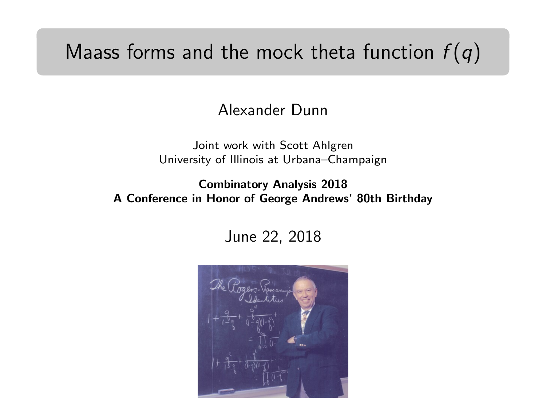## Maass forms and the mock theta function  $f(q)$

Alexander Dunn

Joint work with Scott Ahlgren University of Illinois at Urbana–Champaign

Combinatory Analysis 2018 A Conference in Honor of George Andrews' 80th Birthday

June 22, 2018

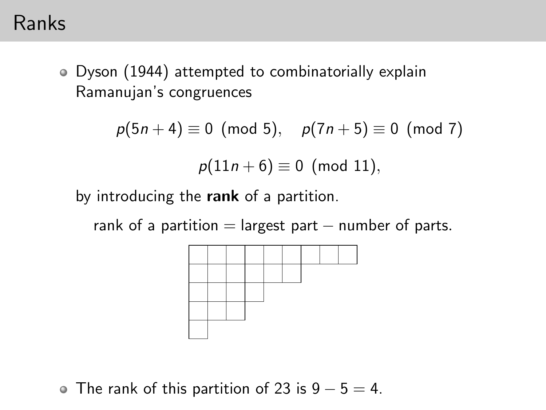### Ranks

Dyson (1944) attempted to combinatorially explain Ramanujan's congruences

$$
p(5n + 4) \equiv 0 \pmod{5}, \quad p(7n + 5) \equiv 0 \pmod{7}
$$
  
 $p(11n + 6) \equiv 0 \pmod{11},$ 

by introducing the rank of a partition.

rank of a partition  $=$  largest part  $-$  number of parts.



• The rank of this partition of 23 is 
$$
9 - 5 = 4
$$
.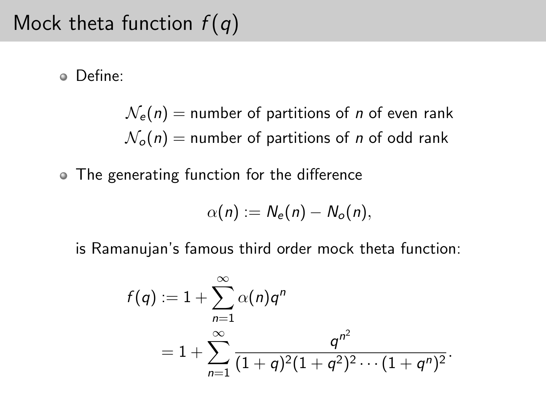# Mock theta function  $f(q)$

Define:

 $N_e(n)$  = number of partitions of *n* of even rank  $\mathcal{N}_o(n)$  = number of partitions of *n* of odd rank

The generating function for the difference

$$
\alpha(n) := N_e(n) - N_o(n),
$$

is Ramanujan's famous third order mock theta function:

$$
f(q) := 1 + \sum_{n=1}^{\infty} \alpha(n) q^n
$$
  
=  $1 + \sum_{n=1}^{\infty} \frac{q^{n^2}}{(1+q)^2(1+q^2)^2 \cdots (1+q^n)^2}.$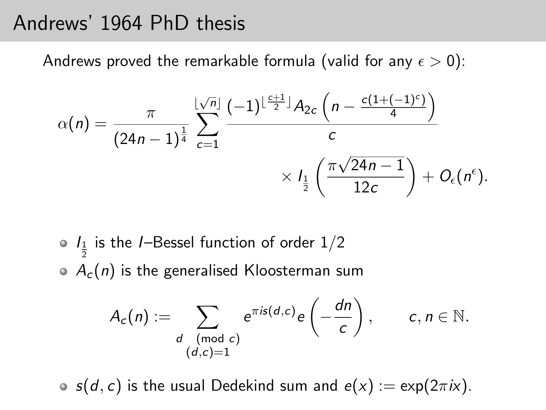## Andrews' 1964 PhD thesis

Andrews proved the remarkable formula (valid for any  $\epsilon > 0$ ):

$$
\alpha(n) = \frac{\pi}{(24n-1)^{\frac{1}{4}}} \sum_{c=1}^{\lfloor \sqrt{n} \rfloor} \frac{(-1)^{\lfloor \frac{c+1}{2} \rfloor} A_{2c} \left(n - \frac{c(1+(-1)^{c})}{4}\right)}{c}
$$

$$
\times I_{\frac{1}{2}}\left(\frac{\pi \sqrt{24n-1}}{12c}\right) + O_{\epsilon}(n^{\epsilon}).
$$

\n- $$
I_{\frac{1}{2}}
$$
 is the *I*-Bessel function of order  $1/2$
\n- $A_c(n)$  is the generalised Kloosterman sum
\n

$$
A_c(n) := \sum_{\substack{d \pmod{c} \\ (d,c)=1}} e^{\pi i s(d,c)} e\left(-\frac{dn}{c}\right), \qquad c, n \in \mathbb{N}.
$$

 $s(d, c)$  is the usual Dedekind sum and  $e(x) := \exp(2\pi i x)$ .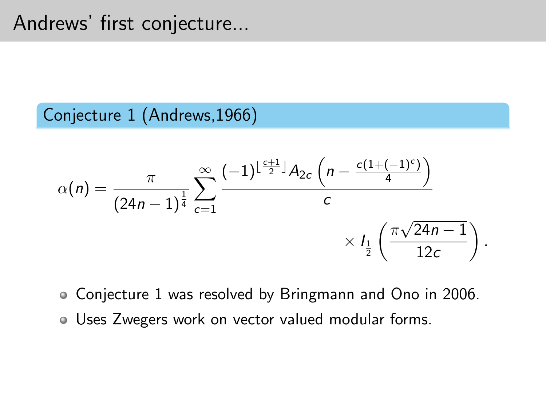## Andrews' first conjecture...

#### Conjecture 1 (Andrews,1966)

$$
\alpha(n) = \frac{\pi}{(24n-1)^{\frac{1}{4}}} \sum_{c=1}^{\infty} \frac{(-1)^{\lfloor \frac{c+1}{2} \rfloor} A_{2c} \left(n - \frac{c(1+(-1)^c)}{4}\right)}{c} \times I_{\frac{1}{2}}\left(\frac{\pi \sqrt{24n-1}}{12c}\right).
$$

- Conjecture 1 was resolved by Bringmann and Ono in 2006.
- Uses Zwegers work on vector valued modular forms.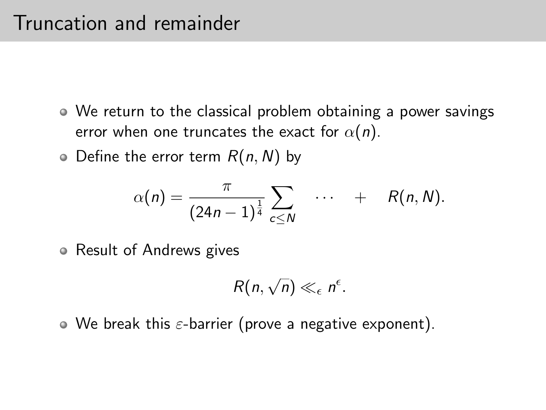- We return to the classical problem obtaining a power savings error when one truncates the exact for  $\alpha(n)$ .
- $\bullet$  Define the error term  $R(n, N)$  by

$$
\alpha(n)=\frac{\pi}{(24n-1)^{\frac{1}{4}}}\sum_{c\leq N}\quad \cdots \quad +\quad R(n,N).
$$

• Result of Andrews gives

$$
R(n,\sqrt{n})\ll_{\epsilon} n^{\epsilon}.
$$

 $\bullet$  We break this  $\varepsilon$ -barrier (prove a negative exponent).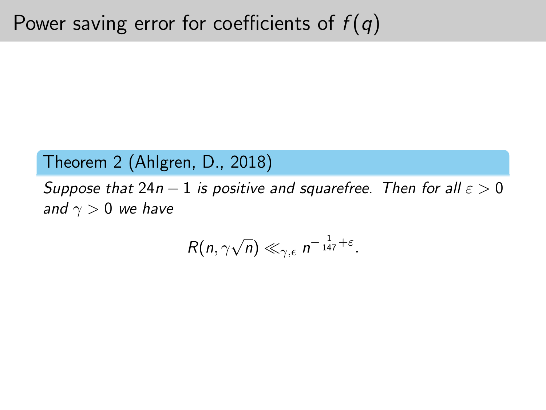#### Theorem 2 (Ahlgren, D., 2018)

Suppose that  $24n - 1$  is positive and squarefree. Then for all  $\varepsilon > 0$ and  $\gamma > 0$  we have

$$
R(n,\gamma\sqrt{n})\ll_{\gamma,\epsilon} n^{-\frac{1}{147}+\epsilon}.
$$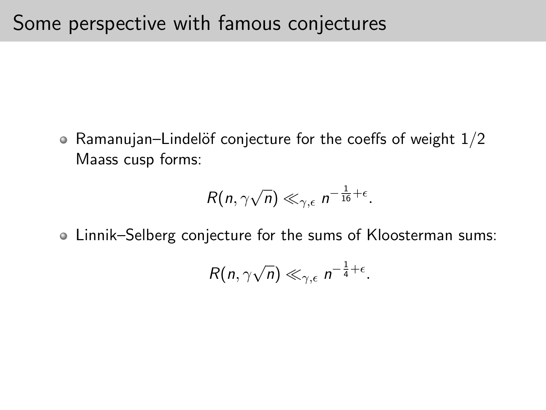• Ramanujan–Lindelöf conjecture for the coeffs of weight  $1/2$ Maass cusp forms:

$$
R(n,\gamma\sqrt{n})\ll_{\gamma,\epsilon} n^{-\frac{1}{16}+\epsilon}.
$$

Linnik–Selberg conjecture for the sums of Kloosterman sums:

$$
R(n,\gamma\sqrt{n})\ll_{\gamma,\epsilon} n^{-\frac{1}{4}+\epsilon}.
$$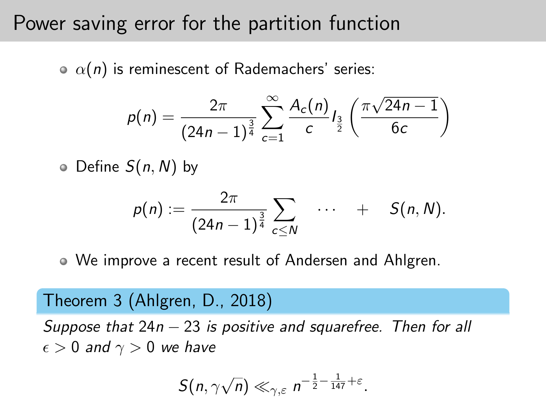### Power saving error for the partition function

 $\alpha(n)$  is reminescent of Rademachers' series:

$$
p(n) = \frac{2\pi}{(24n-1)^{\frac{3}{4}}} \sum_{c=1}^{\infty} \frac{A_c(n)}{c} I_{\frac{3}{2}}\left(\frac{\pi\sqrt{24n-1}}{6c}\right)
$$

 $\circ$  Define  $S(n, N)$  by

$$
p(n) := \frac{2\pi}{(24n-1)^{\frac{3}{4}}} \sum_{c \leq N} \cdots + S(n, N).
$$

We improve a recent result of Andersen and Ahlgren.

#### Theorem 3 (Ahlgren, D., 2018)

Suppose that  $24n - 23$  is positive and squarefree. Then for all  $\epsilon > 0$  and  $\gamma > 0$  we have

$$
S(n,\gamma\sqrt{n})\ll_{\gamma,\varepsilon} n^{-\frac{1}{2}-\frac{1}{147}+\varepsilon}.
$$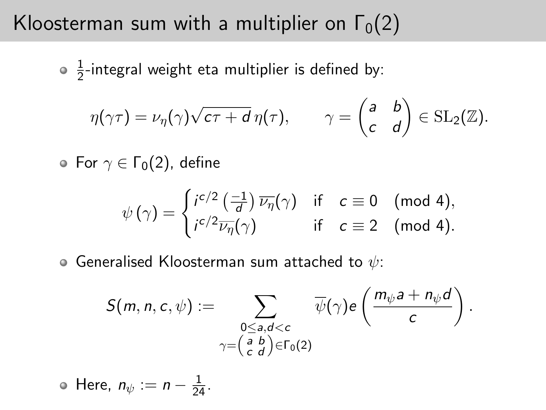## Kloosterman sum with a multiplier on  $\Gamma_0(2)$

1  $\frac{1}{2}$ -integral weight eta multiplier is defined by:

$$
\eta(\gamma\tau)=\nu_{\eta}(\gamma)\sqrt{c\tau+d}\,\eta(\tau),\qquad \gamma=\begin{pmatrix}a&b\\c&d\end{pmatrix}\in\mathrm{SL}_2(\mathbb{Z}).
$$

• For  $\gamma \in \Gamma_0(2)$ , define

$$
\psi(\gamma) = \begin{cases} i^{c/2} \left( \frac{-1}{d} \right) \overline{\nu_{\eta}}(\gamma) & \text{if } c \equiv 0 \pmod{4}, \\ i^{c/2} \overline{\nu_{\eta}}(\gamma) & \text{if } c \equiv 2 \pmod{4}. \end{cases}
$$

 $\bullet$  Generalised Kloosterman sum attached to  $\psi$ :

$$
S(m, n, c, \psi) := \sum_{\substack{0 \leq a, d < c \\ \gamma = \left(\begin{array}{cc} a & b \\ c & d\end{array}\right) \in \Gamma_0(2)}} \overline{\psi}(\gamma) e\left(\frac{m_{\psi}a + n_{\psi}d}{c}\right).
$$

Here,  $n_{\psi} := n - \frac{1}{24}$ .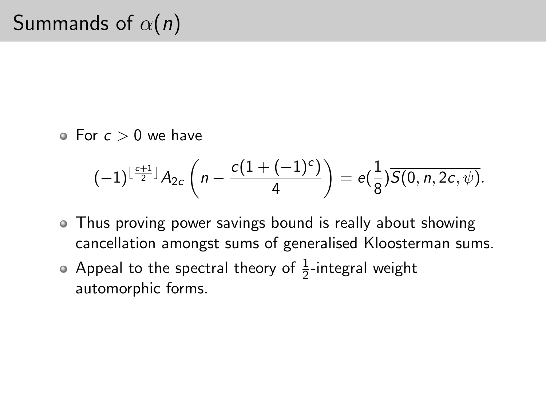$\bullet$  For  $c > 0$  we have

$$
(-1)^{\lfloor \frac{c+1}{2} \rfloor} A_{2c} \left( n - \frac{c(1+(-1)^c)}{4} \right) = e\left(\frac{1}{8}\right) \overline{S(0, n, 2c, \psi)}.
$$

- Thus proving power savings bound is really about showing cancellation amongst sums of generalised Kloosterman sums.
- Appeal to the spectral theory of  $\frac{1}{2}$ -integral weight automorphic forms.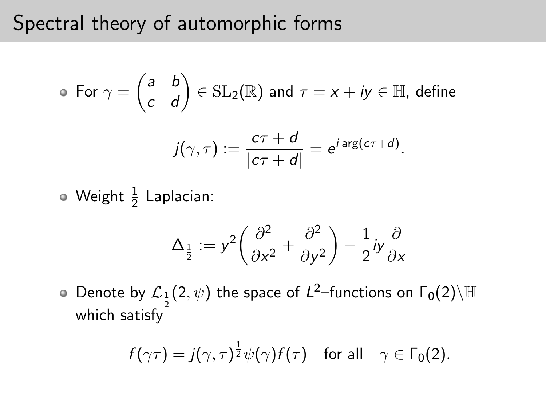## Spectral theory of automorphic forms

• For 
$$
\gamma = \begin{pmatrix} a & b \\ c & d \end{pmatrix} \in SL_2(\mathbb{R})
$$
 and  $\tau = x + iy \in \mathbb{H}$ , define  

$$
j(\gamma, \tau) := \frac{c\tau + d}{|c\tau + d|} = e^{i \arg(c\tau + d)}.
$$

Weight  $\frac{1}{2}$  Laplacian:

$$
\Delta_{\frac{1}{2}} := y^2 \left( \frac{\partial^2}{\partial x^2} + \frac{\partial^2}{\partial y^2} \right) - \frac{1}{2} iy \frac{\partial}{\partial x}
$$

Denote by  $\mathcal{L}_\frac{1}{2}(2,\psi)$  the space of  $L^2$ –functions on  $\Gamma_0(2)\backslash\mathbb{H}$ which satisfy

$$
f(\gamma \tau) = j(\gamma, \tau)^{\frac{1}{2}} \psi(\gamma) f(\tau) \quad \text{for all} \quad \gamma \in \Gamma_0(2).
$$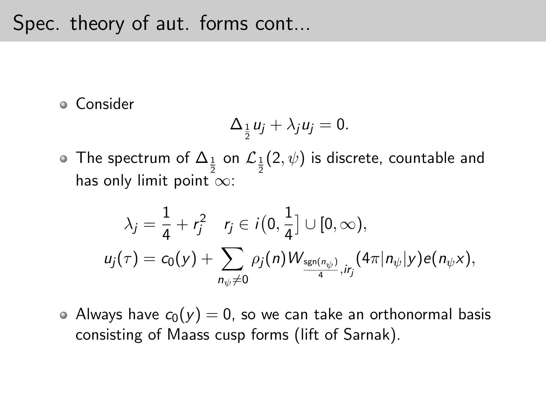### Spec. theory of aut. forms cont...

Consider

$$
\Delta_{\frac{1}{2}}u_j+\lambda_j u_j=0.
$$

The spectrum of  $\Delta_{\frac{1}{2}}$  on  $\mathcal{L}_{\frac{1}{2}}(2,\psi)$  is discrete, countable and has only limit point  $\infty$ :

$$
\lambda_j = \frac{1}{4} + r_j^2 \quad r_j \in i(0, \frac{1}{4}] \cup [0, \infty),
$$
  

$$
u_j(\tau) = c_0(y) + \sum_{n_{\psi} \neq 0} \rho_j(n) W_{\frac{\text{sgn}(n_{\psi})}{4}, ir_j}(4\pi |n_{\psi}|y) e(n_{\psi}x),
$$

• Always have  $c_0(y) = 0$ , so we can take an orthonormal basis consisting of Maass cusp forms (lift of Sarnak).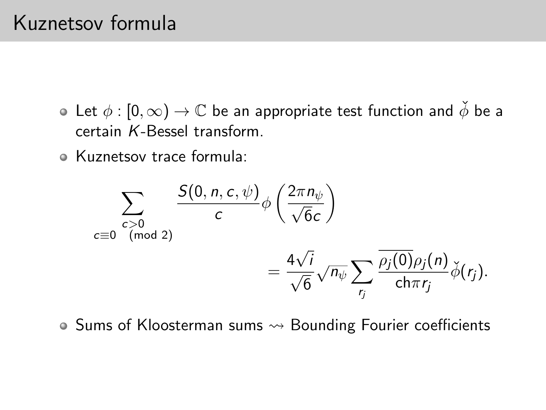## Kuznetsov formula

- Let  $\phi : [0, \infty) \to \mathbb{C}$  be an appropriate test function and  $\check{\phi}$  be a certain K-Bessel transform.
- Kuznetsov trace formula:

$$
\sum_{\substack{c>0\\c\equiv 0\pmod{2}}} \frac{S(0, n, c, \psi)}{c} \phi\left(\frac{2\pi n_{\psi}}{\sqrt{6}c}\right)
$$

$$
= \frac{4\sqrt{i}}{\sqrt{6}} \sqrt{n_{\psi}} \sum_{r_j} \frac{\overline{\rho_j(0)}\rho_j(n)}{\text{ch}\pi r_j} \check{\phi}(r_j).
$$

 $\bullet$  Sums of Kloosterman sums  $\rightsquigarrow$  Bounding Fourier coefficients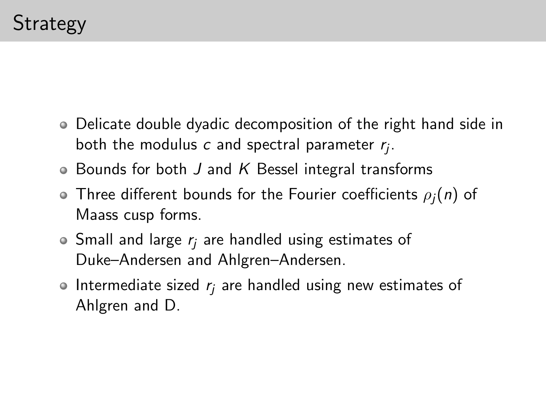- Delicate double dyadic decomposition of the right hand side in both the modulus  $c$  and spectral parameter  $r_j$ .
- $\bullet$  Bounds for both J and K Bessel integral transforms
- $\bullet$  Three different bounds for the Fourier coefficients  $\rho_i(n)$  of Maass cusp forms.
- $\bullet$  Small and large  $r_i$  are handled using estimates of Duke–Andersen and Ahlgren–Andersen.
- $\bullet$  Intermediate sized  $r_i$  are handled using new estimates of Ahlgren and D.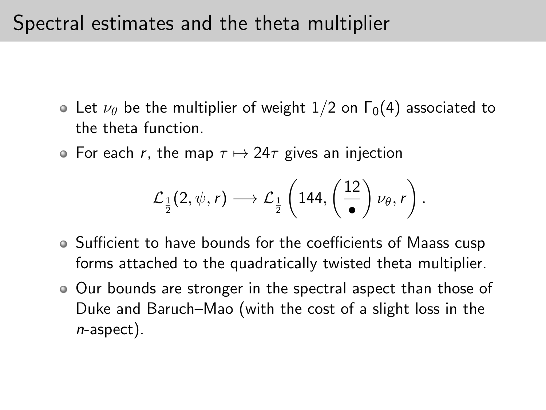## Spectral estimates and the theta multiplier

- Let  $\nu_{\theta}$  be the multiplier of weight 1/2 on  $\Gamma_0(4)$  associated to the theta function.
- For each r, the map  $\tau \mapsto 24\tau$  gives an injection

$$
\mathcal{L}_{\frac{1}{2}}(2,\psi,r)\longrightarrow \mathcal{L}_{\frac{1}{2}}\left(144,\left(\frac{12}{\bullet}\right)\nu_{\theta},r\right).
$$

- Sufficient to have bounds for the coefficients of Maass cusp forms attached to the quadratically twisted theta multiplier.
- Our bounds are stronger in the spectral aspect than those of Duke and Baruch–Mao (with the cost of a slight loss in the n-aspect).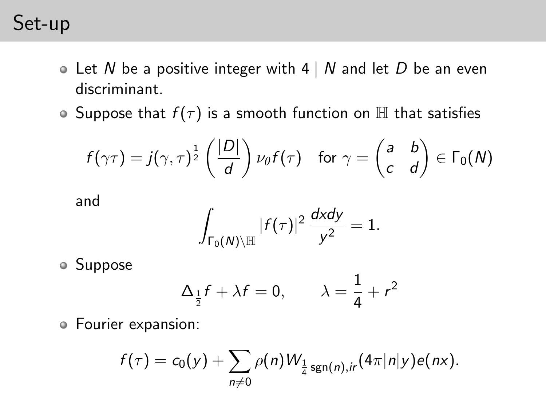## Set-up

- $\bullet$  Let N be a positive integer with 4 | N and let D be an even discriminant.
- Suppose that  $f(\tau)$  is a smooth function on  $\mathbb H$  that satisfies

$$
f(\gamma \tau) = j(\gamma, \tau)^{\frac{1}{2}} \left( \frac{|D|}{d} \right) \nu_{\theta} f(\tau) \quad \text{for } \gamma = \begin{pmatrix} a & b \\ c & d \end{pmatrix} \in \Gamma_0(N)
$$

and

$$
\int_{\Gamma_0(N)\backslash \mathbb{H}} |f(\tau)|^2 \, \frac{dxdy}{y^2} = 1.
$$

Suppose

$$
\Delta_{\frac{1}{2}}f + \lambda f = 0, \qquad \lambda = \frac{1}{4} + r^2
$$

Fourier expansion:

$$
f(\tau) = c_0(y) + \sum_{n \neq 0} \rho(n) W_{\frac{1}{4} \operatorname{sgn}(n), ir} (4\pi |n|y) e(nx).
$$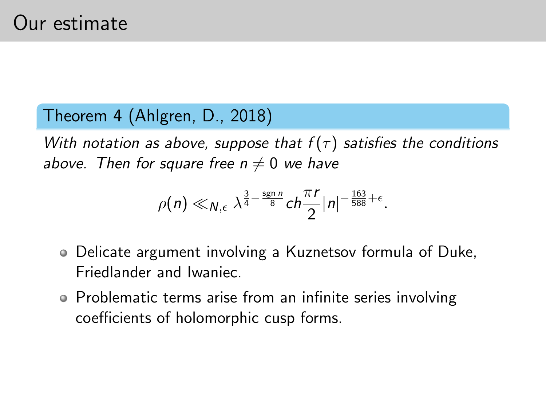#### Theorem 4 (Ahlgren, D., 2018)

With notation as above, suppose that  $f(\tau)$  satisfies the conditions above. Then for square free  $n \neq 0$  we have

$$
\rho(n) \ll_{N,\epsilon} \lambda^{\frac{3}{4}-\frac{\operatorname{sgn} n}{8}} ch \frac{\pi r}{2} |n|^{-\frac{163}{588}+\epsilon}.
$$

- Delicate argument involving a Kuznetsov formula of Duke, Friedlander and Iwaniec.
- Problematic terms arise from an infinite series involving coefficients of holomorphic cusp forms.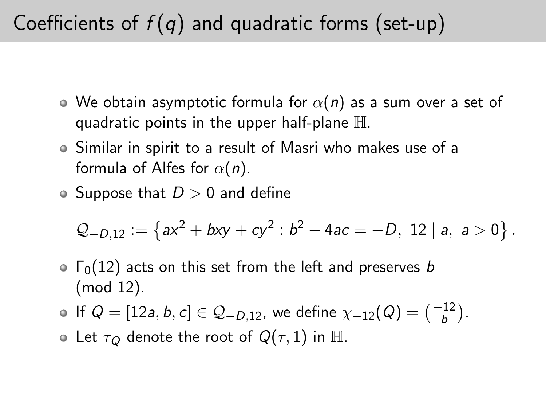# Coefficients of  $f(q)$  and quadratic forms (set-up)

- $\bullet$  We obtain asymptotic formula for  $\alpha(n)$  as a sum over a set of quadratic points in the upper half-plane  $\mathbb H$ .
- Similar in spirit to a result of Masri who makes use of a formula of Alfes for  $\alpha(n)$ .
- Suppose that  $D > 0$  and define

$$
Q_{-D,12} := \{ ax^2 + bxy + cy^2 : b^2 - 4ac = -D, 12 | a, a > 0 \}.
$$

 $\circ$   $\Gamma_0(12)$  acts on this set from the left and preserves b (mod 12).

• If 
$$
Q = [12a, b, c] \in Q_{-D,12}
$$
, we define  $\chi_{-12}(Q) = \left(\frac{-12}{b}\right)$ .

• Let  $\tau_Q$  denote the root of  $Q(\tau,1)$  in H.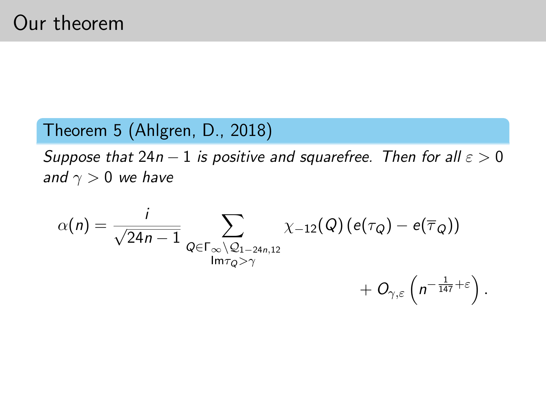#### Theorem 5 (Ahlgren, D., 2018)

Suppose that  $24n - 1$  is positive and squarefree. Then for all  $\varepsilon > 0$ and  $\gamma > 0$  we have

$$
\alpha(n) = \frac{i}{\sqrt{24n-1}} \sum_{Q \in \Gamma_{\infty} \setminus Q_{1-24n,12}} \chi_{-12}(Q) (e(\tau_Q) - e(\overline{\tau}_Q)) + O_{\gamma,\varepsilon}\left(n^{-\frac{1}{147}+\varepsilon}\right).
$$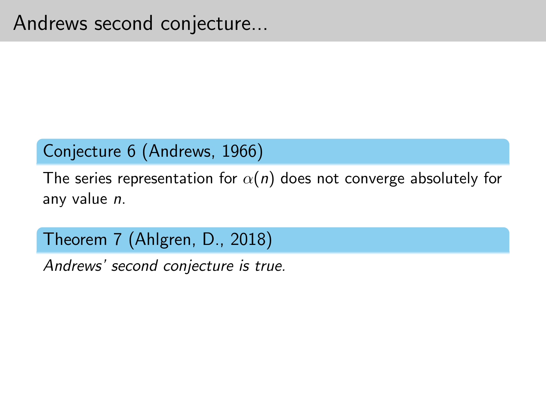### Conjecture 6 (Andrews, 1966)

The series representation for  $\alpha(n)$  does not converge absolutely for any value n.

Theorem 7 (Ahlgren, D., 2018)

Andrews' second conjecture is true.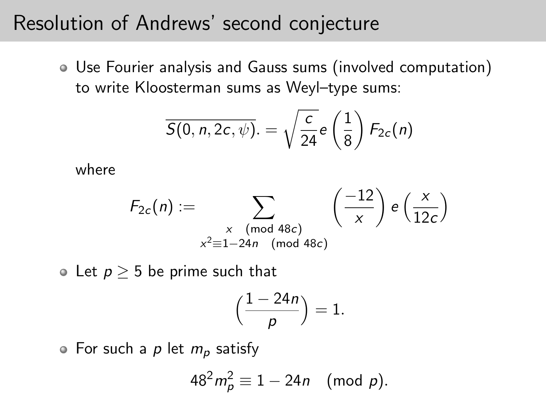### Resolution of Andrews' second conjecture

Use Fourier analysis and Gauss sums (involved computation) to write Kloosterman sums as Weyl–type sums:

$$
\overline{S(0, n, 2c, \psi)} = \sqrt{\frac{c}{24}} e\left(\frac{1}{8}\right) F_{2c}(n)
$$

where

$$
F_{2c}(n) := \sum_{\substack{x \pmod{48c} \\ x^2 \equiv 1 - 24n \pmod{48c}}} \left(\frac{-12}{x}\right) e\left(\frac{x}{12c}\right)
$$

 $\circ$  Let  $p > 5$  be prime such that

$$
\Big(\frac{1-24n}{p}\Big)=1.
$$

 $\circ$  For such a p let  $m_p$  satisfy

$$
48^2 m_p^2 \equiv 1 - 24n \pmod{p}.
$$